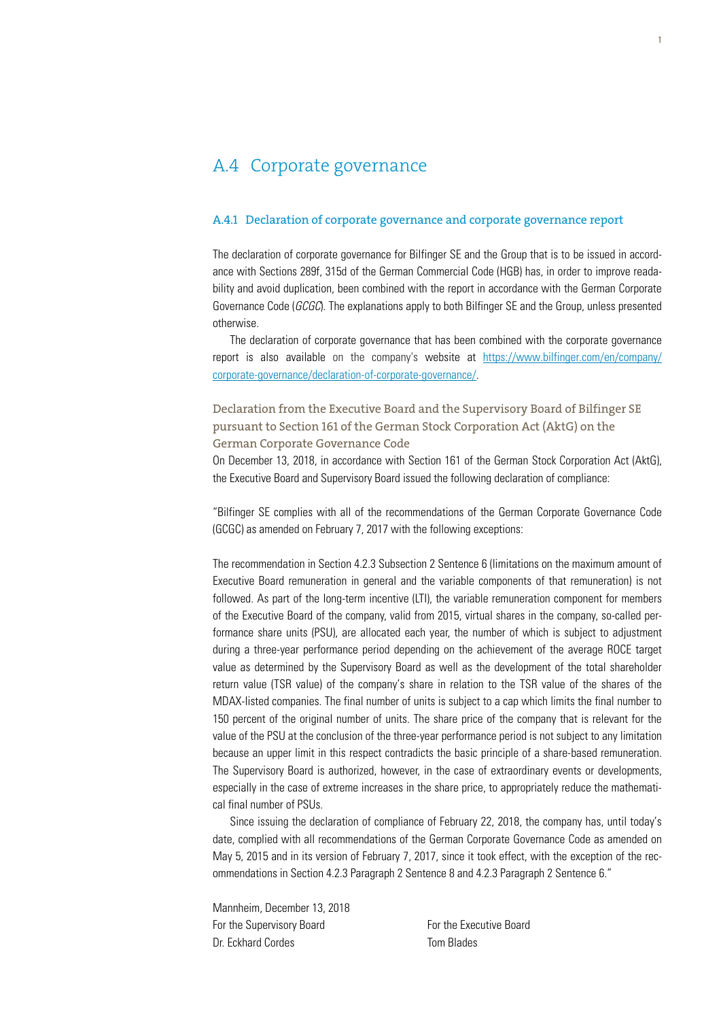# A.4 Corporate governance

#### A.4.1 Declaration of corporate governance and corporate governance report

The declaration of corporate governance for Bilfinger SE and the Group that is to be issued in accordance with Sections 289f, 315d of the German Commercial Code (HGB) has, in order to improve readability and avoid duplication, been combined with the report in accordance with the German Corporate Governance Code (*GCGC*). The explanations apply to both Bilfinger SE and the Group, unless presented otherwise.

The declaration of corporate governance that has been combined with the corporate governance report is also available on the company's website at https://www.bilfinger.com/en/company/ corporate-governance/declaration-of-corporate-governance/.

Declaration from the Executive Board and the Supervisory Board of Bilfinger SE pursuant to Section 161 of the German Stock Corporation Act (AktG) on the German Corporate Governance Code

On December 13, 2018, in accordance with Section 161 of the German Stock Corporation Act (AktG), the Executive Board and Supervisory Board issued the following declaration of compliance:

"Bilfinger SE complies with all of the recommendations of the German Corporate Governance Code (GCGC) as amended on February 7, 2017 with the following exceptions:

The recommendation in Section 4.2.3 Subsection 2 Sentence 6 (limitations on the maximum amount of Executive Board remuneration in general and the variable components of that remuneration) is not followed. As part of the long-term incentive (LTI), the variable remuneration component for members of the Executive Board of the company, valid from 2015, virtual shares in the company, so-called performance share units (PSU), are allocated each year, the number of which is subject to adjustment during a three-year performance period depending on the achievement of the average ROCE target value as determined by the Supervisory Board as well as the development of the total shareholder return value (TSR value) of the company's share in relation to the TSR value of the shares of the MDAX-listed companies. The final number of units is subject to a cap which limits the final number to 150 percent of the original number of units. The share price of the company that is relevant for the value of the PSU at the conclusion of the three-year performance period is not subject to any limitation because an upper limit in this respect contradicts the basic principle of a share-based remuneration. The Supervisory Board is authorized, however, in the case of extraordinary events or developments, especially in the case of extreme increases in the share price, to appropriately reduce the mathematical final number of PSUs.

Since issuing the declaration of compliance of February 22, 2018, the company has, until today's date, complied with all recommendations of the German Corporate Governance Code as amended on May 5, 2015 and in its version of February 7, 2017, since it took effect, with the exception of the recommendations in Section 4.2.3 Paragraph 2 Sentence 8 and 4.2.3 Paragraph 2 Sentence 6."

Mannheim, December 13, 2018 For the Supervisory Board For the Executive Board Dr. Eckhard Cordes **Tom Blades**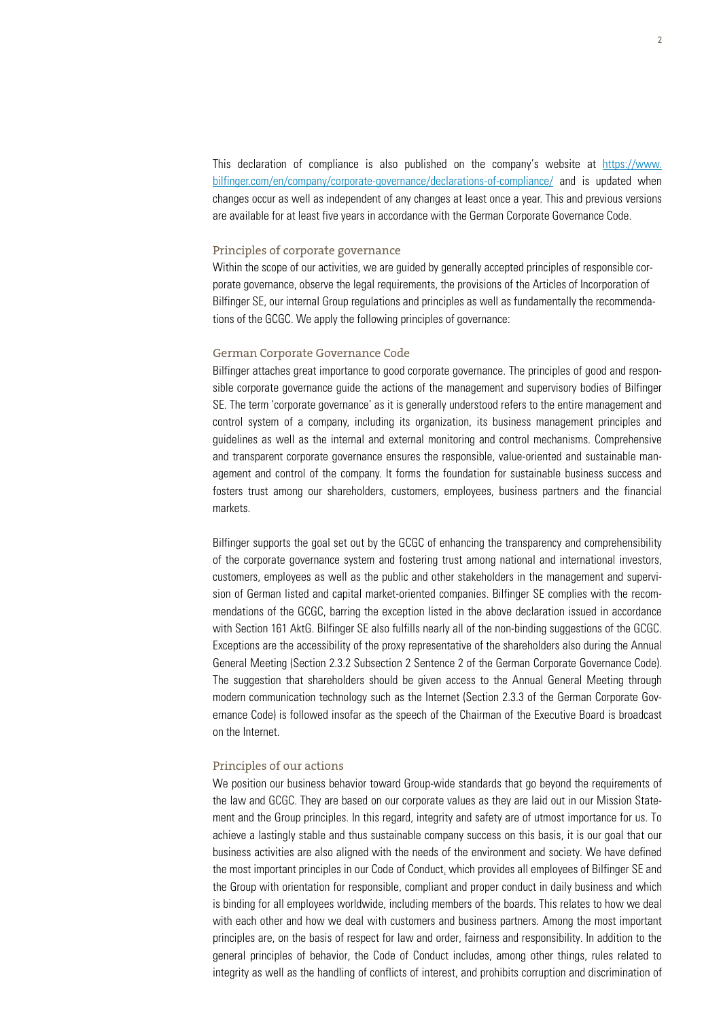This declaration of compliance is also published on the company's website at https://www. bilfinger.com/en/company/corporate-governance/declarations-of-compliance/ and is updated when changes occur as well as independent of any changes at least once a year. This and previous versions are available for at least five years in accordance with the German Corporate Governance Code.

#### Principles of corporate governance

Within the scope of our activities, we are guided by generally accepted principles of responsible corporate governance, observe the legal requirements, the provisions of the Articles of Incorporation of Bilfinger SE, our internal Group regulations and principles as well as fundamentally the recommendations of the GCGC. We apply the following principles of governance:

## German Corporate Governance Code

Bilfinger attaches great importance to good corporate governance. The principles of good and responsible corporate governance guide the actions of the management and supervisory bodies of Bilfinger SE. The term 'corporate governance' as it is generally understood refers to the entire management and control system of a company, including its organization, its business management principles and guidelines as well as the internal and external monitoring and control mechanisms. Comprehensive and transparent corporate governance ensures the responsible, value-oriented and sustainable management and control of the company. It forms the foundation for sustainable business success and fosters trust among our shareholders, customers, employees, business partners and the financial markets.

Bilfinger supports the goal set out by the GCGC of enhancing the transparency and comprehensibility of the corporate governance system and fostering trust among national and international investors, customers, employees as well as the public and other stakeholders in the management and supervision of German listed and capital market-oriented companies. Bilfinger SE complies with the recommendations of the GCGC, barring the exception listed in the above declaration issued in accordance with Section 161 AktG. Bilfinger SE also fulfills nearly all of the non-binding suggestions of the GCGC. Exceptions are the accessibility of the proxy representative of the shareholders also during the Annual General Meeting (Section 2.3.2 Subsection 2 Sentence 2 of the German Corporate Governance Code). The suggestion that shareholders should be given access to the Annual General Meeting through modern communication technology such as the Internet (Section 2.3.3 of the German Corporate Governance Code) is followed insofar as the speech of the Chairman of the Executive Board is broadcast on the Internet.

#### Principles of our actions

We position our business behavior toward Group-wide standards that go beyond the requirements of the law and GCGC. They are based on our corporate values as they are laid out in our Mission Statement and the Group principles. In this regard, integrity and safety are of utmost importance for us. To achieve a lastingly stable and thus sustainable company success on this basis, it is our goal that our business activities are also aligned with the needs of the environment and society. We have defined the most important principles in our Code of Conduct*,* which provides all employees of Bilfinger SE and the Group with orientation for responsible, compliant and proper conduct in daily business and which is binding for all employees worldwide, including members of the boards. This relates to how we deal with each other and how we deal with customers and business partners. Among the most important principles are, on the basis of respect for law and order, fairness and responsibility. In addition to the general principles of behavior, the Code of Conduct includes, among other things, rules related to integrity as well as the handling of conflicts of interest, and prohibits corruption and discrimination of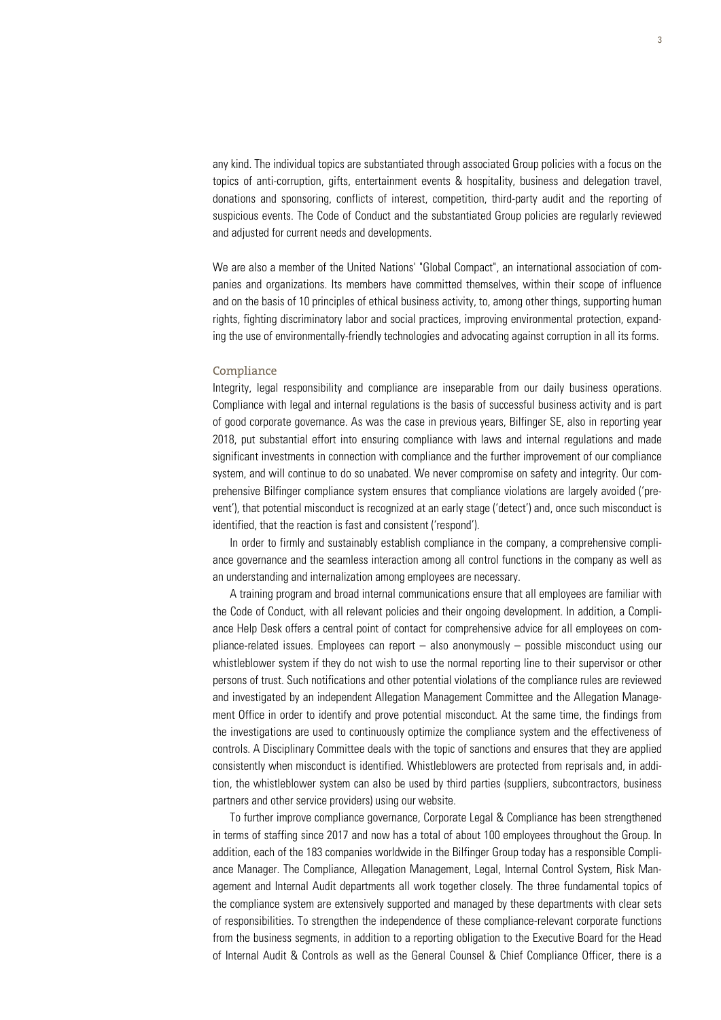any kind. The individual topics are substantiated through associated Group policies with a focus on the topics of anti-corruption, gifts, entertainment events & hospitality, business and delegation travel, donations and sponsoring, conflicts of interest, competition, third-party audit and the reporting of suspicious events. The Code of Conduct and the substantiated Group policies are regularly reviewed and adjusted for current needs and developments.

We are also a member of the United Nations' "Global Compact", an international association of companies and organizations. Its members have committed themselves, within their scope of influence and on the basis of 10 principles of ethical business activity, to, among other things, supporting human rights, fighting discriminatory labor and social practices, improving environmental protection, expanding the use of environmentally-friendly technologies and advocating against corruption in all its forms.

#### Compliance

Integrity, legal responsibility and compliance are inseparable from our daily business operations. Compliance with legal and internal regulations is the basis of successful business activity and is part of good corporate governance. As was the case in previous years, Bilfinger SE, also in reporting year 2018, put substantial effort into ensuring compliance with laws and internal regulations and made significant investments in connection with compliance and the further improvement of our compliance system, and will continue to do so unabated. We never compromise on safety and integrity. Our comprehensive Bilfinger compliance system ensures that compliance violations are largely avoided ('prevent'), that potential misconduct is recognized at an early stage ('detect') and, once such misconduct is identified, that the reaction is fast and consistent ('respond').

In order to firmly and sustainably establish compliance in the company, a comprehensive compliance governance and the seamless interaction among all control functions in the company as well as an understanding and internalization among employees are necessary.

A training program and broad internal communications ensure that all employees are familiar with the Code of Conduct, with all relevant policies and their ongoing development. In addition, a Compliance Help Desk offers a central point of contact for comprehensive advice for all employees on compliance-related issues. Employees can report – also anonymously – possible misconduct using our whistleblower system if they do not wish to use the normal reporting line to their supervisor or other persons of trust. Such notifications and other potential violations of the compliance rules are reviewed and investigated by an independent Allegation Management Committee and the Allegation Management Office in order to identify and prove potential misconduct. At the same time, the findings from the investigations are used to continuously optimize the compliance system and the effectiveness of controls. A Disciplinary Committee deals with the topic of sanctions and ensures that they are applied consistently when misconduct is identified. Whistleblowers are protected from reprisals and, in addition, the whistleblower system can also be used by third parties (suppliers, subcontractors, business partners and other service providers) using our website.

To further improve compliance governance, Corporate Legal & Compliance has been strengthened in terms of staffing since 2017 and now has a total of about 100 employees throughout the Group. In addition, each of the 183 companies worldwide in the Bilfinger Group today has a responsible Compliance Manager. The Compliance, Allegation Management, Legal, Internal Control System, Risk Management and Internal Audit departments all work together closely. The three fundamental topics of the compliance system are extensively supported and managed by these departments with clear sets of responsibilities. To strengthen the independence of these compliance-relevant corporate functions from the business segments, in addition to a reporting obligation to the Executive Board for the Head of Internal Audit & Controls as well as the General Counsel & Chief Compliance Officer, there is a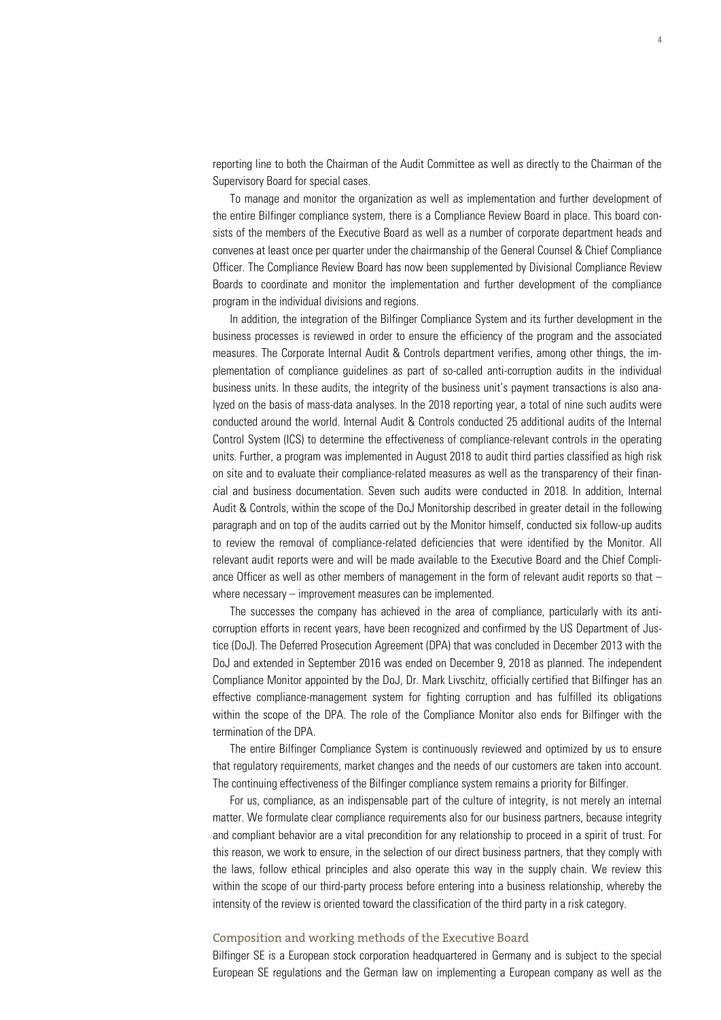reporting line to both the Chairman of the Audit Committee as well as directly to the Chairman of the Supervisory Board for special cases.

To manage and monitor the organization as well as implementation and further development of the entire Bilfinger compliance system, there is a Compliance Review Board in place. This board consists of the members of the Executive Board as well as a number of corporate department heads and convenes at least once per quarter under the chairmanship of the General Counsel & Chief Compliance Officer. The Compliance Review Board has now been supplemented by Divisional Compliance Review Boards to coordinate and monitor the implementation and further development of the compliance program in the individual divisions and regions.

In addition, the integration of the Bilfinger Compliance System and its further development in the business processes is reviewed in order to ensure the efficiency of the program and the associated measures. The Corporate Internal Audit & Controls department verifies, among other things, the implementation of compliance guidelines as part of so-called anti-corruption audits in the individual business units. In these audits, the integrity of the business unit's payment transactions is also analyzed on the basis of mass-data analyses. In the 2018 reporting year, a total of nine such audits were conducted around the world. Internal Audit & Controls conducted 25 additional audits of the Internal Control System (ICS) to determine the effectiveness of compliance-relevant controls in the operating units. Further, a program was implemented in August 2018 to audit third parties classified as high risk on site and to evaluate their compliance-related measures as well as the transparency of their financial and business documentation. Seven such audits were conducted in 2018. In addition, Internal Audit & Controls, within the scope of the DoJ Monitorship described in greater detail in the following paragraph and on top of the audits carried out by the Monitor himself, conducted six follow-up audits to review the removal of compliance-related deficiencies that were identified by the Monitor. All relevant audit reports were and will be made available to the Executive Board and the Chief Compliance Officer as well as other members of management in the form of relevant audit reports so that – where necessary – improvement measures can be implemented.

The successes the company has achieved in the area of compliance, particularly with its anticorruption efforts in recent years, have been recognized and confirmed by the US Department of Justice (DoJ). The Deferred Prosecution Agreement (DPA) that was concluded in December 2013 with the DoJ and extended in September 2016 was ended on December 9, 2018 as planned. The independent Compliance Monitor appointed by the DoJ, Dr. Mark Livschitz, officially certified that Bilfinger has an effective compliance-management system for fighting corruption and has fulfilled its obligations within the scope of the DPA. The role of the Compliance Monitor also ends for Bilfinger with the termination of the DPA.

The entire Bilfinger Compliance System is continuously reviewed and optimized by us to ensure that regulatory requirements, market changes and the needs of our customers are taken into account. The continuing effectiveness of the Bilfinger compliance system remains a priority for Bilfinger.

For us, compliance, as an indispensable part of the culture of integrity, is not merely an internal matter. We formulate clear compliance requirements also for our business partners, because integrity and compliant behavior are a vital precondition for any relationship to proceed in a spirit of trust. For this reason, we work to ensure, in the selection of our direct business partners, that they comply with the laws, follow ethical principles and also operate this way in the supply chain. We review this within the scope of our third-party process before entering into a business relationship, whereby the intensity of the review is oriented toward the classification of the third party in a risk category.

## Composition and working methods of the Executive Board

Bilfinger SE is a European stock corporation headquartered in Germany and is subject to the special European SE regulations and the German law on implementing a European company as well as the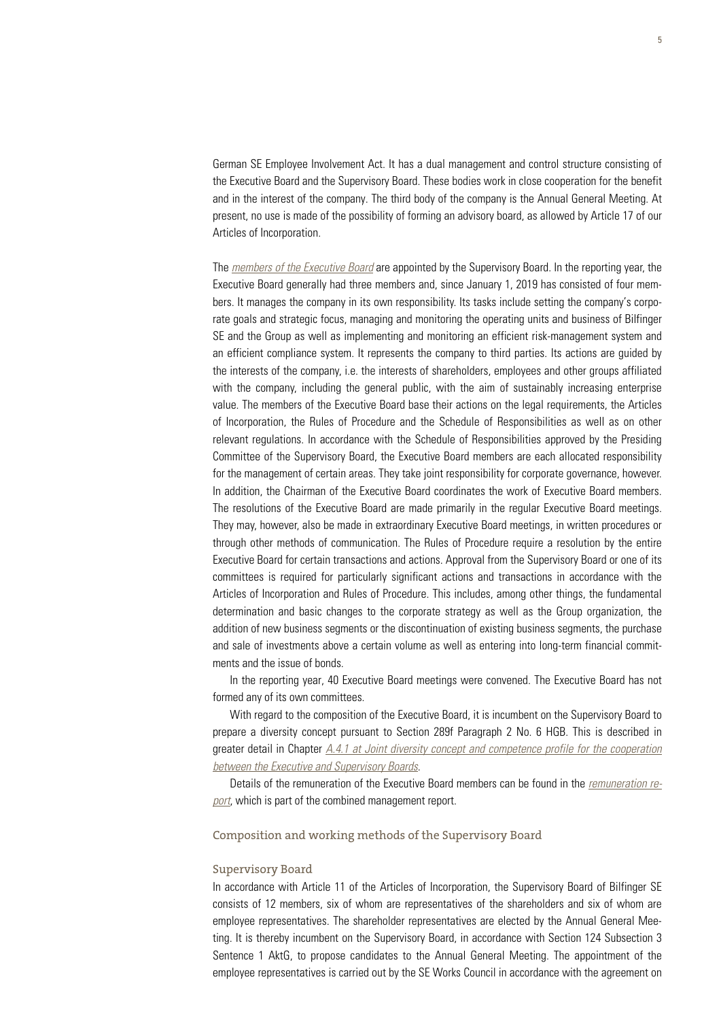German SE Employee Involvement Act. It has a dual management and control structure consisting of the Executive Board and the Supervisory Board. These bodies work in close cooperation for the benefit and in the interest of the company. The third body of the company is the Annual General Meeting. At present, no use is made of the possibility of forming an advisory board, as allowed by Article 17 of our Articles of Incorporation.

The *members of the Executive Board* are appointed by the Supervisory Board. In the reporting year, the Executive Board generally had three members and, since January 1, 2019 has consisted of four members. It manages the company in its own responsibility. Its tasks include setting the company's corporate goals and strategic focus, managing and monitoring the operating units and business of Bilfinger SE and the Group as well as implementing and monitoring an efficient risk-management system and an efficient compliance system. It represents the company to third parties. Its actions are guided by the interests of the company, i.e. the interests of shareholders, employees and other groups affiliated with the company, including the general public, with the aim of sustainably increasing enterprise value. The members of the Executive Board base their actions on the legal requirements, the Articles of Incorporation, the Rules of Procedure and the Schedule of Responsibilities as well as on other relevant regulations. In accordance with the Schedule of Responsibilities approved by the Presiding Committee of the Supervisory Board, the Executive Board members are each allocated responsibility for the management of certain areas. They take joint responsibility for corporate governance, however. In addition, the Chairman of the Executive Board coordinates the work of Executive Board members. The resolutions of the Executive Board are made primarily in the regular Executive Board meetings. They may, however, also be made in extraordinary Executive Board meetings, in written procedures or through other methods of communication. The Rules of Procedure require a resolution by the entire Executive Board for certain transactions and actions. Approval from the Supervisory Board or one of its committees is required for particularly significant actions and transactions in accordance with the Articles of Incorporation and Rules of Procedure. This includes, among other things, the fundamental determination and basic changes to the corporate strategy as well as the Group organization, the addition of new business segments or the discontinuation of existing business segments, the purchase and sale of investments above a certain volume as well as entering into long-term financial commitments and the issue of bonds.

In the reporting year, 40 Executive Board meetings were convened. The Executive Board has not formed any of its own committees.

With regard to the composition of the Executive Board, it is incumbent on the Supervisory Board to prepare a diversity concept pursuant to Section 289f Paragraph 2 No. 6 HGB. This is described in greater detail in Chapter *A.4.1 at Joint diversity concept and competence profile for the cooperation between the Executive and Supervisory Boards*.

Details of the remuneration of the Executive Board members can be found in the *remuneration report*, which is part of the combined management report.

#### Composition and working methods of the Supervisory Board

#### Supervisory Board

In accordance with Article 11 of the Articles of Incorporation, the Supervisory Board of Bilfinger SE consists of 12 members, six of whom are representatives of the shareholders and six of whom are employee representatives. The shareholder representatives are elected by the Annual General Meeting. It is thereby incumbent on the Supervisory Board, in accordance with Section 124 Subsection 3 Sentence 1 AktG, to propose candidates to the Annual General Meeting. The appointment of the employee representatives is carried out by the SE Works Council in accordance with the agreement on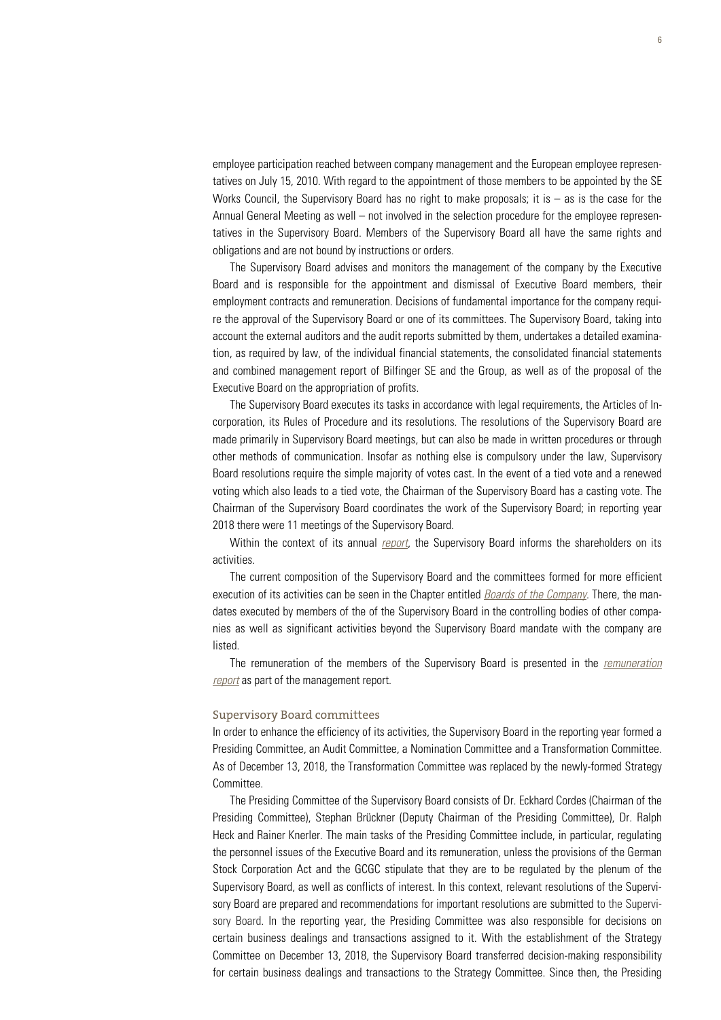employee participation reached between company management and the European employee representatives on July 15, 2010. With regard to the appointment of those members to be appointed by the SE Works Council, the Supervisory Board has no right to make proposals; it is  $-$  as is the case for the Annual General Meeting as well – not involved in the selection procedure for the employee representatives in the Supervisory Board. Members of the Supervisory Board all have the same rights and obligations and are not bound by instructions or orders.

The Supervisory Board advises and monitors the management of the company by the Executive Board and is responsible for the appointment and dismissal of Executive Board members, their employment contracts and remuneration. Decisions of fundamental importance for the company require the approval of the Supervisory Board or one of its committees. The Supervisory Board, taking into account the external auditors and the audit reports submitted by them, undertakes a detailed examination, as required by law, of the individual financial statements, the consolidated financial statements and combined management report of Bilfinger SE and the Group, as well as of the proposal of the Executive Board on the appropriation of profits.

The Supervisory Board executes its tasks in accordance with legal requirements, the Articles of Incorporation, its Rules of Procedure and its resolutions. The resolutions of the Supervisory Board are made primarily in Supervisory Board meetings, but can also be made in written procedures or through other methods of communication. Insofar as nothing else is compulsory under the law, Supervisory Board resolutions require the simple majority of votes cast. In the event of a tied vote and a renewed voting which also leads to a tied vote, the Chairman of the Supervisory Board has a casting vote. The Chairman of the Supervisory Board coordinates the work of the Supervisory Board; in reporting year 2018 there were 11 meetings of the Supervisory Board.

Within the context of its annual *report*, the Supervisory Board informs the shareholders on its activities.

The current composition of the Supervisory Board and the committees formed for more efficient execution of its activities can be seen in the Chapter entitled *Boards of the Company*. There, the mandates executed by members of the of the Supervisory Board in the controlling bodies of other companies as well as significant activities beyond the Supervisory Board mandate with the company are listed.

The remuneration of the members of the Supervisory Board is presented in the *remuneration report* as part of the management report.

### Supervisory Board committees

In order to enhance the efficiency of its activities, the Supervisory Board in the reporting year formed a Presiding Committee, an Audit Committee, a Nomination Committee and a Transformation Committee. As of December 13, 2018, the Transformation Committee was replaced by the newly-formed Strategy Committee.

The Presiding Committee of the Supervisory Board consists of Dr. Eckhard Cordes (Chairman of the Presiding Committee), Stephan Brückner (Deputy Chairman of the Presiding Committee), Dr. Ralph Heck and Rainer Knerler. The main tasks of the Presiding Committee include, in particular, regulating the personnel issues of the Executive Board and its remuneration, unless the provisions of the German Stock Corporation Act and the GCGC stipulate that they are to be regulated by the plenum of the Supervisory Board, as well as conflicts of interest. In this context, relevant resolutions of the Supervisory Board are prepared and recommendations for important resolutions are submitted to the Supervisory Board. In the reporting year, the Presiding Committee was also responsible for decisions on certain business dealings and transactions assigned to it. With the establishment of the Strategy Committee on December 13, 2018, the Supervisory Board transferred decision-making responsibility for certain business dealings and transactions to the Strategy Committee. Since then, the Presiding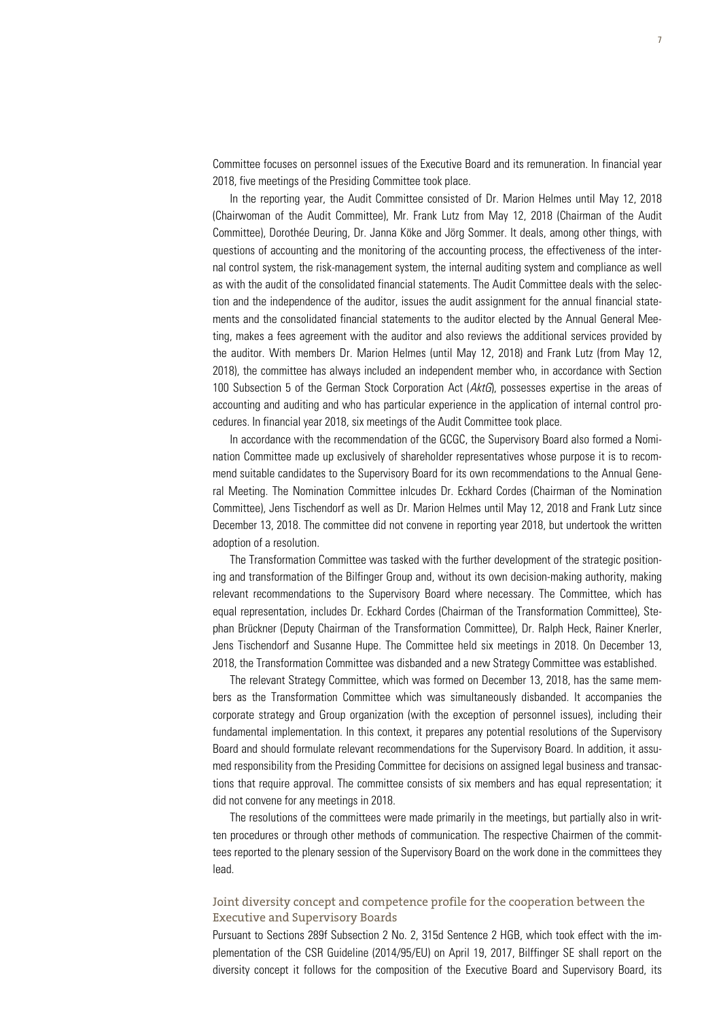Committee focuses on personnel issues of the Executive Board and its remuneration. In financial year 2018, five meetings of the Presiding Committee took place.

In the reporting year, the Audit Committee consisted of Dr. Marion Helmes until May 12, 2018 (Chairwoman of the Audit Committee), Mr. Frank Lutz from May 12, 2018 (Chairman of the Audit Committee), Dorothée Deuring, Dr. Janna Köke and Jörg Sommer. It deals, among other things, with questions of accounting and the monitoring of the accounting process, the effectiveness of the internal control system, the risk-management system, the internal auditing system and compliance as well as with the audit of the consolidated financial statements. The Audit Committee deals with the selection and the independence of the auditor, issues the audit assignment for the annual financial statements and the consolidated financial statements to the auditor elected by the Annual General Meeting, makes a fees agreement with the auditor and also reviews the additional services provided by the auditor. With members Dr. Marion Helmes (until May 12, 2018) and Frank Lutz (from May 12, 2018), the committee has always included an independent member who, in accordance with Section 100 Subsection 5 of the German Stock Corporation Act (*AktG*), possesses expertise in the areas of accounting and auditing and who has particular experience in the application of internal control procedures. In financial year 2018, six meetings of the Audit Committee took place.

In accordance with the recommendation of the GCGC, the Supervisory Board also formed a Nomination Committee made up exclusively of shareholder representatives whose purpose it is to recommend suitable candidates to the Supervisory Board for its own recommendations to the Annual General Meeting. The Nomination Committee inlcudes Dr. Eckhard Cordes (Chairman of the Nomination Committee), Jens Tischendorf as well as Dr. Marion Helmes until May 12, 2018 and Frank Lutz since December 13, 2018. The committee did not convene in reporting year 2018, but undertook the written adoption of a resolution.

The Transformation Committee was tasked with the further development of the strategic positioning and transformation of the Bilfinger Group and, without its own decision-making authority, making relevant recommendations to the Supervisory Board where necessary. The Committee, which has equal representation, includes Dr. Eckhard Cordes (Chairman of the Transformation Committee), Stephan Brückner (Deputy Chairman of the Transformation Committee), Dr. Ralph Heck, Rainer Knerler, Jens Tischendorf and Susanne Hupe. The Committee held six meetings in 2018. On December 13, 2018, the Transformation Committee was disbanded and a new Strategy Committee was established.

The relevant Strategy Committee, which was formed on December 13, 2018, has the same members as the Transformation Committee which was simultaneously disbanded. It accompanies the corporate strategy and Group organization (with the exception of personnel issues), including their fundamental implementation. In this context, it prepares any potential resolutions of the Supervisory Board and should formulate relevant recommendations for the Supervisory Board. In addition, it assumed responsibility from the Presiding Committee for decisions on assigned legal business and transactions that require approval. The committee consists of six members and has equal representation; it did not convene for any meetings in 2018.

The resolutions of the committees were made primarily in the meetings, but partially also in written procedures or through other methods of communication. The respective Chairmen of the committees reported to the plenary session of the Supervisory Board on the work done in the committees they lead.

# Joint diversity concept and competence profile for the cooperation between the Executive and Supervisory Boards

Pursuant to Sections 289f Subsection 2 No. 2, 315d Sentence 2 HGB, which took effect with the implementation of the CSR Guideline (2014/95/EU) on April 19, 2017, Bilffinger SE shall report on the diversity concept it follows for the composition of the Executive Board and Supervisory Board, its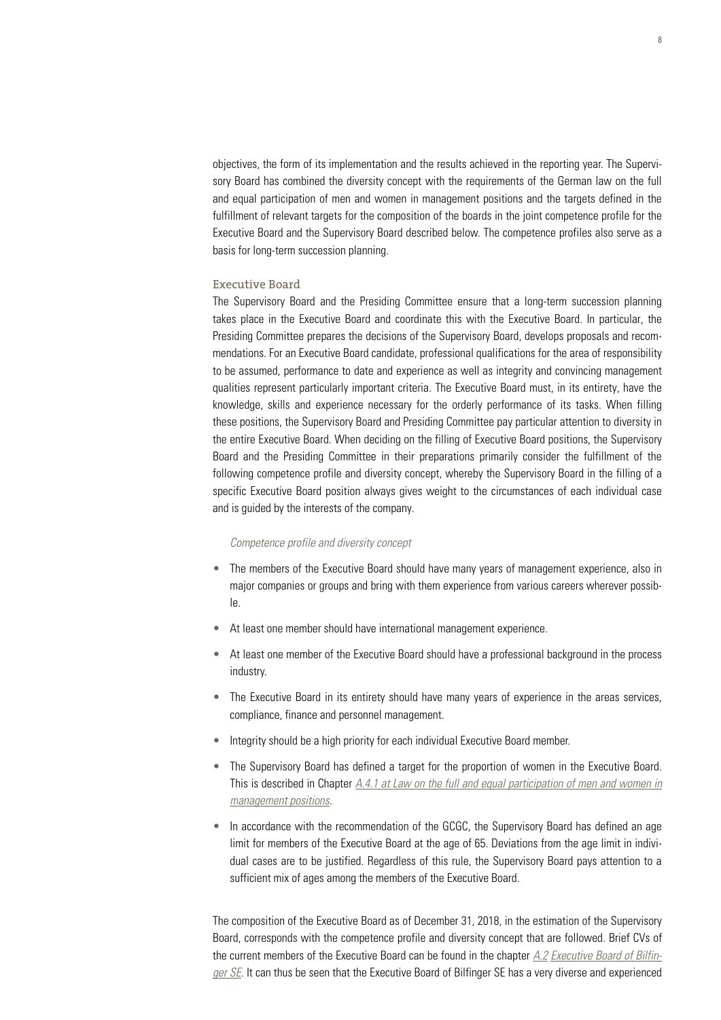objectives, the form of its implementation and the results achieved in the reporting year. The Supervisory Board has combined the diversity concept with the requirements of the German law on the full and equal participation of men and women in management positions and the targets defined in the fulfillment of relevant targets for the composition of the boards in the joint competence profile for the Executive Board and the Supervisory Board described below. The competence profiles also serve as a basis for long-term succession planning.

#### Executive Board

The Supervisory Board and the Presiding Committee ensure that a long-term succession planning takes place in the Executive Board and coordinate this with the Executive Board. In particular, the Presiding Committee prepares the decisions of the Supervisory Board, develops proposals and recommendations. For an Executive Board candidate, professional qualifications for the area of responsibility to be assumed, performance to date and experience as well as integrity and convincing management qualities represent particularly important criteria. The Executive Board must, in its entirety, have the knowledge, skills and experience necessary for the orderly performance of its tasks. When filling these positions, the Supervisory Board and Presiding Committee pay particular attention to diversity in the entire Executive Board. When deciding on the filling of Executive Board positions, the Supervisory Board and the Presiding Committee in their preparations primarily consider the fulfillment of the following competence profile and diversity concept, whereby the Supervisory Board in the filling of a specific Executive Board position always gives weight to the circumstances of each individual case and is guided by the interests of the company.

#### *Competence profile and diversity concept*

- The members of the Executive Board should have many years of management experience, also in major companies or groups and bring with them experience from various careers wherever possible.
- At least one member should have international management experience.
- At least one member of the Executive Board should have a professional background in the process industry.
- The Executive Board in its entirety should have many vears of experience in the areas services, compliance, finance and personnel management.
- Integrity should be a high priority for each individual Executive Board member.
- The Supervisory Board has defined a target for the proportion of women in the Executive Board. This is described in Chapter *A.4.1 at Law on the full and equal participation of men and women in management positions*.
- In accordance with the recommendation of the GCGC, the Supervisory Board has defined an age limit for members of the Executive Board at the age of 65. Deviations from the age limit in individual cases are to be justified. Regardless of this rule, the Supervisory Board pays attention to a sufficient mix of ages among the members of the Executive Board.

The composition of the Executive Board as of December 31, 2018, in the estimation of the Supervisory Board, corresponds with the competence profile and diversity concept that are followed. Brief CVs of the current members of the Executive Board can be found in the chapter *A.2 Executive Board of Bilfinger SE*. It can thus be seen that the Executive Board of Bilfinger SE has a very diverse and experienced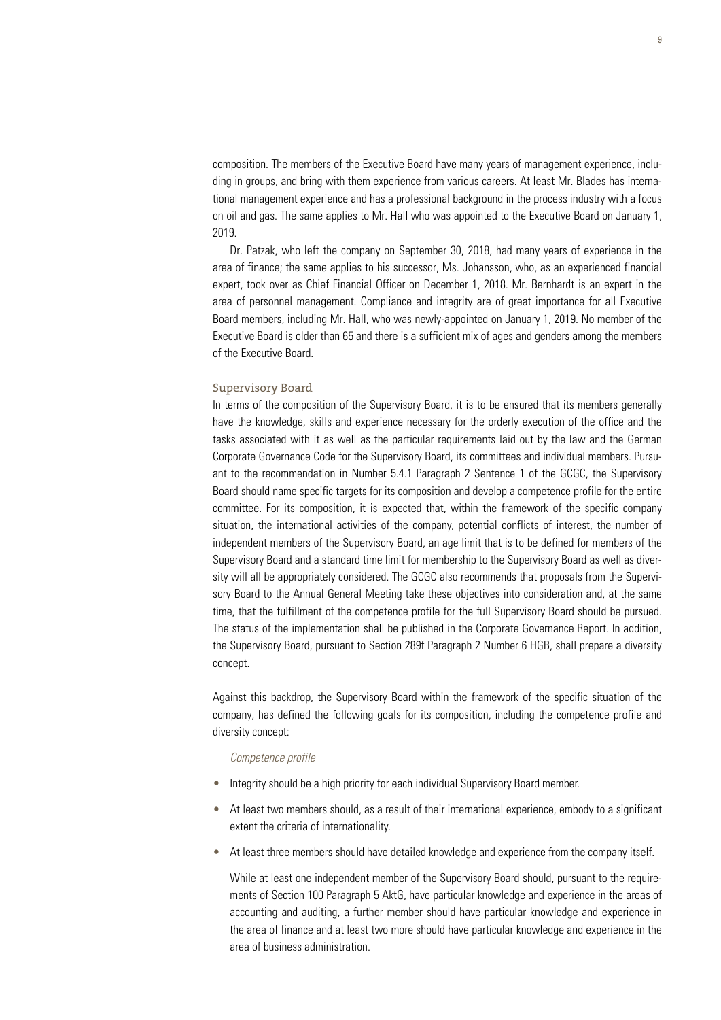composition. The members of the Executive Board have many years of management experience, including in groups, and bring with them experience from various careers. At least Mr. Blades has international management experience and has a professional background in the process industry with a focus on oil and gas. The same applies to Mr. Hall who was appointed to the Executive Board on January 1, 2019.

Dr. Patzak, who left the company on September 30, 2018, had many years of experience in the area of finance; the same applies to his successor, Ms. Johansson, who, as an experienced financial expert, took over as Chief Financial Officer on December 1, 2018. Mr. Bernhardt is an expert in the area of personnel management. Compliance and integrity are of great importance for all Executive Board members, including Mr. Hall, who was newly-appointed on January 1, 2019. No member of the Executive Board is older than 65 and there is a sufficient mix of ages and genders among the members of the Executive Board.

#### Supervisory Board

In terms of the composition of the Supervisory Board, it is to be ensured that its members generally have the knowledge, skills and experience necessary for the orderly execution of the office and the tasks associated with it as well as the particular requirements laid out by the law and the German Corporate Governance Code for the Supervisory Board, its committees and individual members. Pursuant to the recommendation in Number 5.4.1 Paragraph 2 Sentence 1 of the GCGC, the Supervisory Board should name specific targets for its composition and develop a competence profile for the entire committee. For its composition, it is expected that, within the framework of the specific company situation, the international activities of the company, potential conflicts of interest, the number of independent members of the Supervisory Board, an age limit that is to be defined for members of the Supervisory Board and a standard time limit for membership to the Supervisory Board as well as diversity will all be appropriately considered. The GCGC also recommends that proposals from the Supervisory Board to the Annual General Meeting take these objectives into consideration and, at the same time, that the fulfillment of the competence profile for the full Supervisory Board should be pursued. The status of the implementation shall be published in the Corporate Governance Report. In addition, the Supervisory Board, pursuant to Section 289f Paragraph 2 Number 6 HGB, shall prepare a diversity concept.

Against this backdrop, the Supervisory Board within the framework of the specific situation of the company, has defined the following goals for its composition, including the competence profile and diversity concept:

#### *Competence profile*

- Integrity should be a high priority for each individual Supervisory Board member.
- At least two members should, as a result of their international experience, embody to a significant extent the criteria of internationality.
- At least three members should have detailed knowledge and experience from the company itself.

While at least one independent member of the Supervisory Board should, pursuant to the requirements of Section 100 Paragraph 5 AktG, have particular knowledge and experience in the areas of accounting and auditing, a further member should have particular knowledge and experience in the area of finance and at least two more should have particular knowledge and experience in the area of business administration.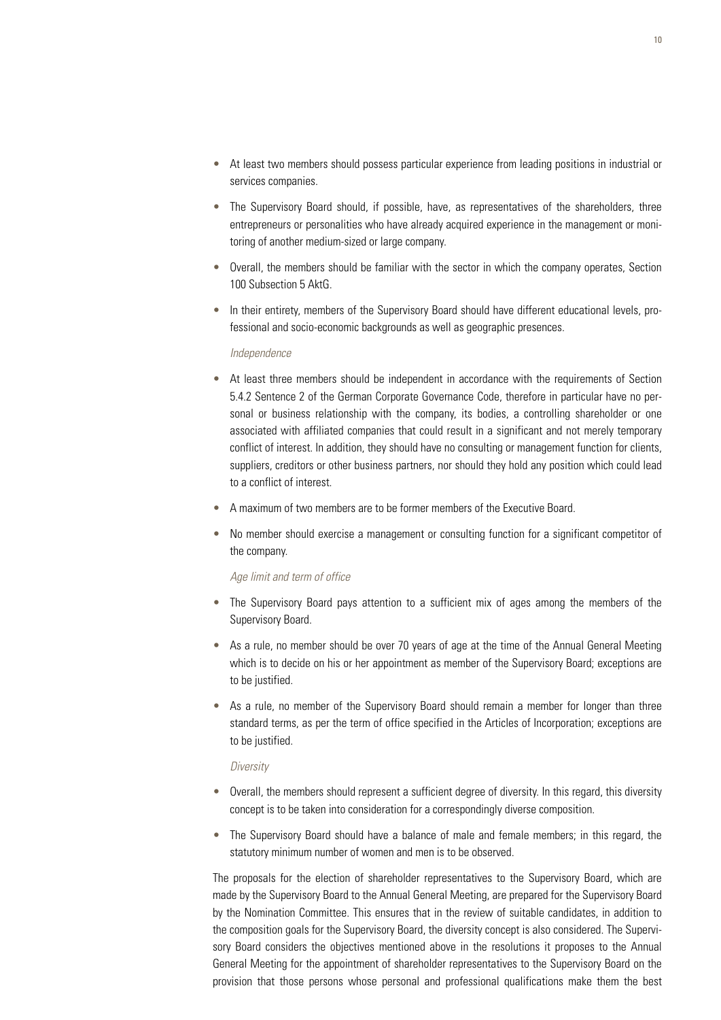- At least two members should possess particular experience from leading positions in industrial or services companies.
- The Supervisory Board should, if possible, have, as representatives of the shareholders, three entrepreneurs or personalities who have already acquired experience in the management or monitoring of another medium-sized or large company.
- Overall, the members should be familiar with the sector in which the company operates, Section 100 Subsection 5 AktG.
- In their entirety, members of the Supervisory Board should have different educational levels, professional and socio-economic backgrounds as well as geographic presences.

#### *Independence*

- At least three members should be independent in accordance with the requirements of Section 5.4.2 Sentence 2 of the German Corporate Governance Code, therefore in particular have no personal or business relationship with the company, its bodies, a controlling shareholder or one associated with affiliated companies that could result in a significant and not merely temporary conflict of interest. In addition, they should have no consulting or management function for clients, suppliers, creditors or other business partners, nor should they hold any position which could lead to a conflict of interest.
- A maximum of two members are to be former members of the Executive Board.
- No member should exercise a management or consulting function for a significant competitor of the company.

## *Age limit and term of office*

- The Supervisory Board pays attention to a sufficient mix of ages among the members of the Supervisory Board.
- As a rule, no member should be over 70 years of age at the time of the Annual General Meeting which is to decide on his or her appointment as member of the Supervisory Board; exceptions are to be justified.
- As a rule, no member of the Supervisory Board should remain a member for longer than three standard terms, as per the term of office specified in the Articles of Incorporation; exceptions are to be justified.

### *Diversity*

- Overall, the members should represent a sufficient degree of diversity. In this regard, this diversity concept is to be taken into consideration for a correspondingly diverse composition.
- The Supervisory Board should have a balance of male and female members; in this regard, the statutory minimum number of women and men is to be observed.

The proposals for the election of shareholder representatives to the Supervisory Board, which are made by the Supervisory Board to the Annual General Meeting, are prepared for the Supervisory Board by the Nomination Committee. This ensures that in the review of suitable candidates, in addition to the composition goals for the Supervisory Board, the diversity concept is also considered. The Supervisory Board considers the objectives mentioned above in the resolutions it proposes to the Annual General Meeting for the appointment of shareholder representatives to the Supervisory Board on the provision that those persons whose personal and professional qualifications make them the best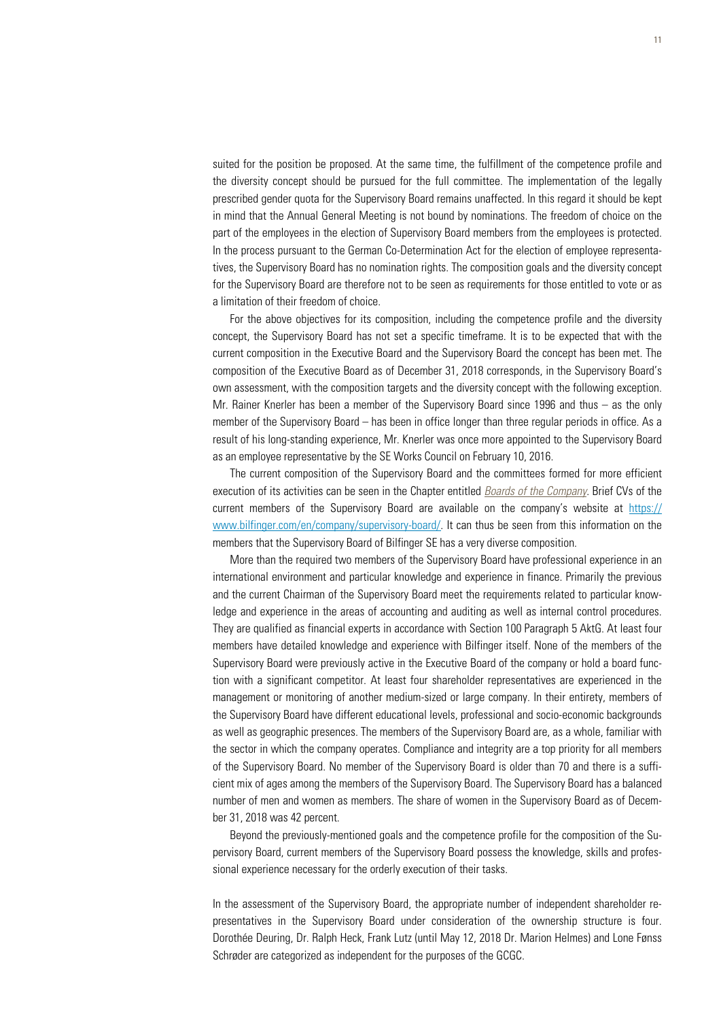suited for the position be proposed. At the same time, the fulfillment of the competence profile and the diversity concept should be pursued for the full committee. The implementation of the legally prescribed gender quota for the Supervisory Board remains unaffected. In this regard it should be kept in mind that the Annual General Meeting is not bound by nominations. The freedom of choice on the part of the employees in the election of Supervisory Board members from the employees is protected. In the process pursuant to the German Co-Determination Act for the election of employee representatives, the Supervisory Board has no nomination rights. The composition goals and the diversity concept for the Supervisory Board are therefore not to be seen as requirements for those entitled to vote or as a limitation of their freedom of choice.

For the above objectives for its composition, including the competence profile and the diversity concept, the Supervisory Board has not set a specific timeframe. It is to be expected that with the current composition in the Executive Board and the Supervisory Board the concept has been met. The composition of the Executive Board as of December 31, 2018 corresponds, in the Supervisory Board's own assessment, with the composition targets and the diversity concept with the following exception. Mr. Rainer Knerler has been a member of the Supervisory Board since 1996 and thus – as the only member of the Supervisory Board – has been in office longer than three regular periods in office. As a result of his long-standing experience, Mr. Knerler was once more appointed to the Supervisory Board as an employee representative by the SE Works Council on February 10, 2016.

The current composition of the Supervisory Board and the committees formed for more efficient execution of its activities can be seen in the Chapter entitled *Boards of the Company*. Brief CVs of the current members of the Supervisory Board are available on the company's website at https:// www.bilfinger.com/en/company/supervisory-board/. It can thus be seen from this information on the members that the Supervisory Board of Bilfinger SE has a very diverse composition.

More than the required two members of the Supervisory Board have professional experience in an international environment and particular knowledge and experience in finance. Primarily the previous and the current Chairman of the Supervisory Board meet the requirements related to particular knowledge and experience in the areas of accounting and auditing as well as internal control procedures. They are qualified as financial experts in accordance with Section 100 Paragraph 5 AktG. At least four members have detailed knowledge and experience with Bilfinger itself. None of the members of the Supervisory Board were previously active in the Executive Board of the company or hold a board function with a significant competitor. At least four shareholder representatives are experienced in the management or monitoring of another medium-sized or large company. In their entirety, members of the Supervisory Board have different educational levels, professional and socio-economic backgrounds as well as geographic presences. The members of the Supervisory Board are, as a whole, familiar with the sector in which the company operates. Compliance and integrity are a top priority for all members of the Supervisory Board. No member of the Supervisory Board is older than 70 and there is a sufficient mix of ages among the members of the Supervisory Board. The Supervisory Board has a balanced number of men and women as members. The share of women in the Supervisory Board as of December 31, 2018 was 42 percent.

Beyond the previously-mentioned goals and the competence profile for the composition of the Supervisory Board, current members of the Supervisory Board possess the knowledge, skills and professional experience necessary for the orderly execution of their tasks.

In the assessment of the Supervisory Board, the appropriate number of independent shareholder representatives in the Supervisory Board under consideration of the ownership structure is four. Dorothée Deuring, Dr. Ralph Heck, Frank Lutz (until May 12, 2018 Dr. Marion Helmes) and Lone Fønss Schrøder are categorized as independent for the purposes of the GCGC.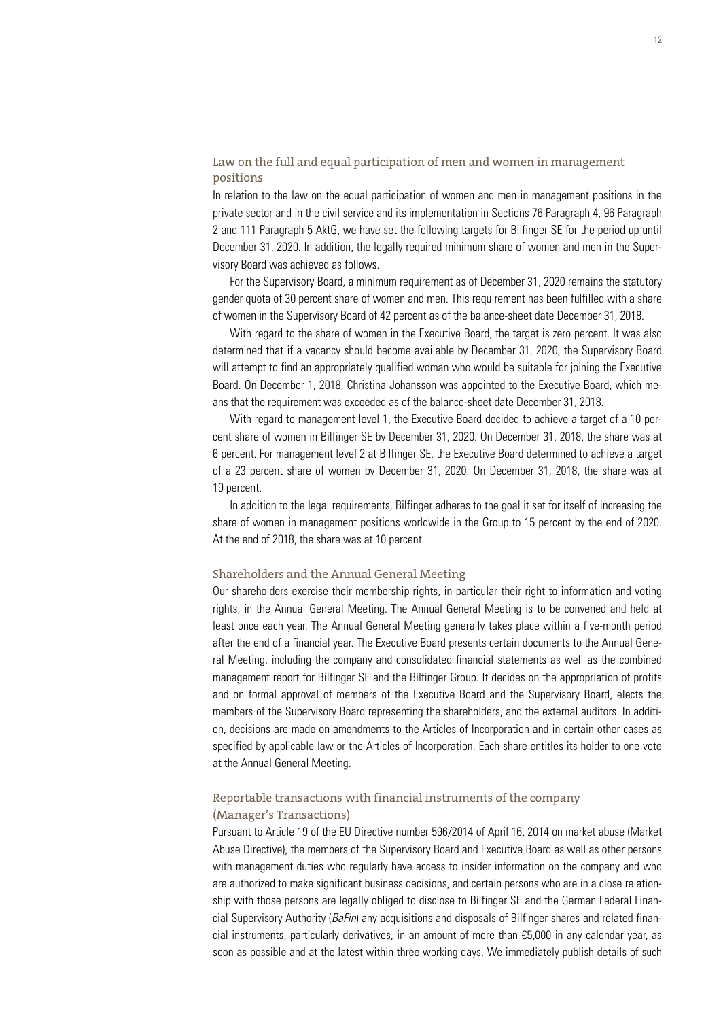# Law on the full and equal participation of men and women in management positions

In relation to the law on the equal participation of women and men in management positions in the private sector and in the civil service and its implementation in Sections 76 Paragraph 4, 96 Paragraph 2 and 111 Paragraph 5 AktG, we have set the following targets for Bilfinger SE for the period up until December 31, 2020. In addition, the legally required minimum share of women and men in the Supervisory Board was achieved as follows.

For the Supervisory Board, a minimum requirement as of December 31, 2020 remains the statutory gender quota of 30 percent share of women and men. This requirement has been fulfilled with a share of women in the Supervisory Board of 42 percent as of the balance-sheet date December 31, 2018.

With regard to the share of women in the Executive Board, the target is zero percent. It was also determined that if a vacancy should become available by December 31, 2020, the Supervisory Board will attempt to find an appropriately qualified woman who would be suitable for joining the Executive Board. On December 1, 2018, Christina Johansson was appointed to the Executive Board, which means that the requirement was exceeded as of the balance-sheet date December 31, 2018.

With regard to management level 1, the Executive Board decided to achieve a target of a 10 percent share of women in Bilfinger SE by December 31, 2020. On December 31, 2018, the share was at 6 percent. For management level 2 at Bilfinger SE, the Executive Board determined to achieve a target of a 23 percent share of women by December 31, 2020. On December 31, 2018, the share was at 19 percent.

In addition to the legal requirements, Bilfinger adheres to the goal it set for itself of increasing the share of women in management positions worldwide in the Group to 15 percent by the end of 2020. At the end of 2018, the share was at 10 percent.

#### Shareholders and the Annual General Meeting

Our shareholders exercise their membership rights, in particular their right to information and voting rights, in the Annual General Meeting. The Annual General Meeting is to be convened and held at least once each year. The Annual General Meeting generally takes place within a five-month period after the end of a financial year. The Executive Board presents certain documents to the Annual General Meeting, including the company and consolidated financial statements as well as the combined management report for Bilfinger SE and the Bilfinger Group. It decides on the appropriation of profits and on formal approval of members of the Executive Board and the Supervisory Board, elects the members of the Supervisory Board representing the shareholders, and the external auditors. In addition, decisions are made on amendments to the Articles of Incorporation and in certain other cases as specified by applicable law or the Articles of Incorporation. Each share entitles its holder to one vote at the Annual General Meeting.

# Reportable transactions with financial instruments of the company (Manager's Transactions)

Pursuant to Article 19 of the EU Directive number 596/2014 of April 16, 2014 on market abuse (Market Abuse Directive), the members of the Supervisory Board and Executive Board as well as other persons with management duties who regularly have access to insider information on the company and who are authorized to make significant business decisions, and certain persons who are in a close relationship with those persons are legally obliged to disclose to Bilfinger SE and the German Federal Financial Supervisory Authority (*BaFin*) any acquisitions and disposals of Bilfinger shares and related financial instruments, particularly derivatives, in an amount of more than €5,000 in any calendar year, as soon as possible and at the latest within three working days. We immediately publish details of such